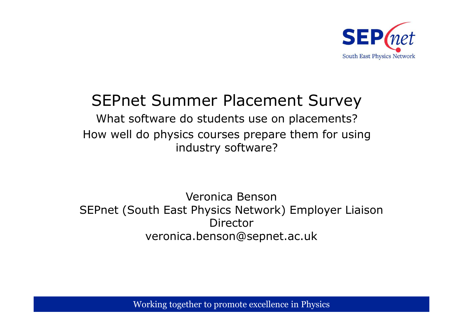

# SEPnet Summer Placement Survey

What software do students use on placements?How well do physics courses prepare them for using industry software?

Veronica Benson SEPnet (South East Physics Network) Employer Liaison Directorveronica.benson@sepnet.ac.uk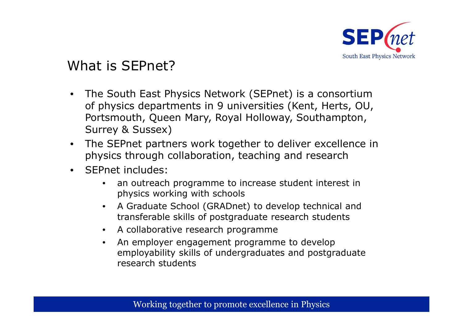

### What is SEPnet?

- The South East Physics Network (SEPnet) is a consortium of physics departments in 9 universities (Kent, Herts, OU, Portsmouth, Queen Mary, Royal Holloway, Southampton, Surrey & Sussex)
- The SEPnet partners work together to deliver excellence in physics through collaboration, teaching and research
- $\bullet$  SEPnet includes:
	- $\bullet$  an outreach programme to increase student interest in physics working with schools
	- • A Graduate School (GRADnet) to develop technical and transferable skills of postgraduate research students
	- $\bullet$ A collaborative research programme
	- $\bullet$  An employer engagement programme to develop employability skills of undergraduates and postgraduate research students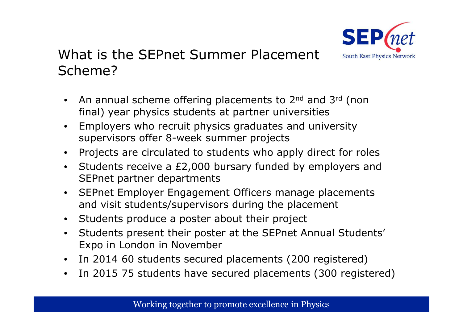

## What is the SEPnet Summer Placement Scheme?

- $\bullet$ An annual scheme offering placements to 2<sup>nd</sup> and 3<sup>rd</sup> (non final) year physics students at partner universities
- • Employers who recruit physics graduates and university supervisors offer 8-week summer projects
- $\bullet$ Projects are circulated to students who apply direct for roles
- Students receive a £2,000 bursary funded by employers and SEPnet partner departments
- $\bullet$  SEPnet Employer Engagement Officers manage placements and visit students/supervisors during the placement
- $\bullet$ Students produce a poster about their project
- $\bullet$  Students present their poster at the SEPnet Annual Students' Expo in London in November
- In 2014 60 students secured placements (200 registered)
- $\bullet$ In 2015 75 students have secured placements (300 registered)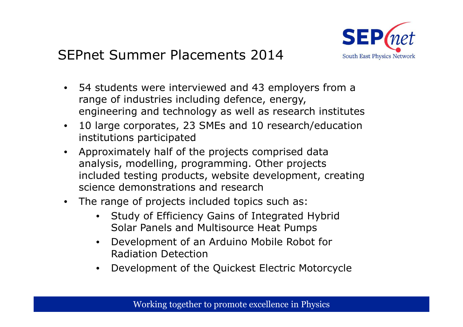

## SEPnet Summer Placements 2014

- $\bullet$  54 students were interviewed and 43 employers from a range of industries including defence, energy, engineering and technology as well as research institutes
- $\bullet$  10 large corporates, 23 SMEs and 10 research/education institutions participated
- Approximately half of the projects comprised data  $\bullet$ analysis, modelling, programming. Other projects included testing products, website development, creating science demonstrations and research
- $\bullet$  The range of projects included topics such as:
	- Study of Efficiency Gains of Integrated Hybrid Solar Panels and Multisource Heat Pumps
	- $\bullet$  Development of an Arduino Mobile Robot for Radiation Detection
	- Development of the Quickest Electric Motorcycle•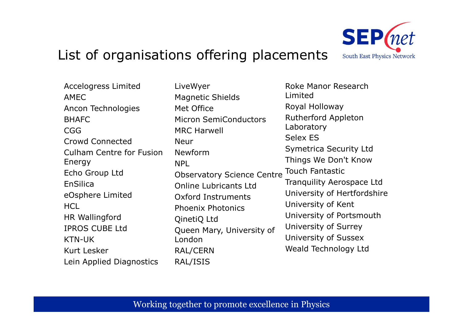#### List of organisations offering placements

Accelogress Limited AMEC Ancon TechnologiesBHAFCCGG Crowd ConnectedCulham Centre for Fusion<br>Energy Energy Echo Group LtdEnSilicaeOsphere Limited<br>UCL **HCL**  HR Wallingford IPROS CUBE LtdKTN-UK Kurt LeskerLein Applied Diagnostics

LiveWyerMagnetic ShieldsMet Office Micron SemiConductorsMRC HarwellNeurNewformNPL Observatory Science CentreOnline Lubricants Ltd Oxford InstrumentsPhoenix PhotonicsQinetiQ Ltd Queen Mary, University of London RAL/CERNRAL/ISIS



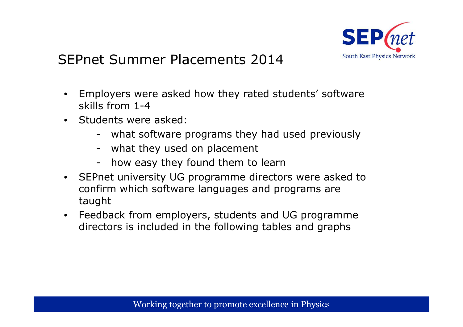

# SEPnet Summer Placements 2014

- $\bullet$  Employers were asked how they rated students' software skills from 1-4
- Students were asked:
	- what software programs they had used previously<br>what they used an placement
	- what they used on placement<br>have asset that found them to
	- how easy they found them to learn
- $\bullet$  SEPnet university UG programme directors were asked to confirm which software languages and programs are taught
- $\bullet$  Feedback from employers, students and UG programme directors is included in the following tables and graphs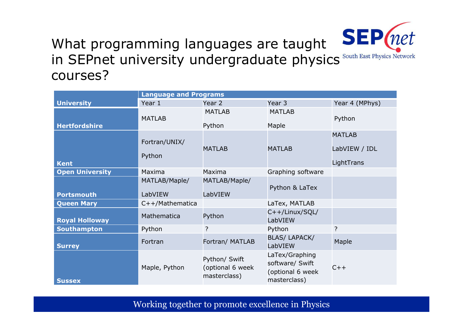

## What programming languages are taught in SEPnet university undergraduate physics<sup>s</sup><br>courses? courses?

|                        | <b>Language and Programs</b> |                                                   |                                                                       |                                              |
|------------------------|------------------------------|---------------------------------------------------|-----------------------------------------------------------------------|----------------------------------------------|
| <b>University</b>      | Year 1                       | Year 2                                            | Year 3                                                                | Year 4 (MPhys)                               |
| <b>Hertfordshire</b>   | <b>MATLAB</b>                | <b>MATLAB</b><br>Python                           | <b>MATLAB</b><br>Maple                                                | Python                                       |
| <b>Kent</b>            | Fortran/UNIX/<br>Python      | <b>MATLAB</b>                                     | <b>MATLAB</b>                                                         | <b>MATLAB</b><br>LabVIEW / IDL<br>LightTrans |
| <b>Open University</b> | Maxima                       | Maxima                                            | Graphing software                                                     |                                              |
| <b>Portsmouth</b>      | MATLAB/Maple/<br>LabVIEW     | MATLAB/Maple/<br>LabVIEW                          | Python & LaTex                                                        |                                              |
| <b>Queen Mary</b>      | $C++/Mathematica$            |                                                   | LaTex, MATLAB                                                         |                                              |
| <b>Royal Holloway</b>  | Mathematica                  | Python                                            | $C++/Linux/SQL/$<br>LabVIEW                                           |                                              |
| <b>Southampton</b>     | Python                       | $\ddot{?}$                                        | Python                                                                | ?                                            |
| <b>Surrey</b>          | Fortran                      | Fortran/ MATLAB                                   | <b>BLAS/ LAPACK/</b><br>LabVIEW                                       | Maple                                        |
| <b>Sussex</b>          | Maple, Python                | Python/ Swift<br>(optional 6 week<br>masterclass) | LaTex/Graphing<br>software/ Swift<br>(optional 6 week<br>masterclass) | $C++$                                        |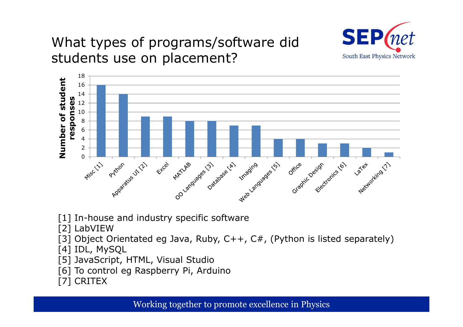

# What types of programs/software didstudents use on placement?



[1] In-house and industry specific software

[2] LabVIEW

[3] Object Orientated eg Java, Ruby, C++, C#, (Python is listed separately)<br>[4] IDL MySOL

[4] IDL, MySQL

- [5] JavaScript, HTML, Visual Studio
- [6] To control eg Raspberry Pi, Arduino<br>[7] CRITEX

[7] CRITEX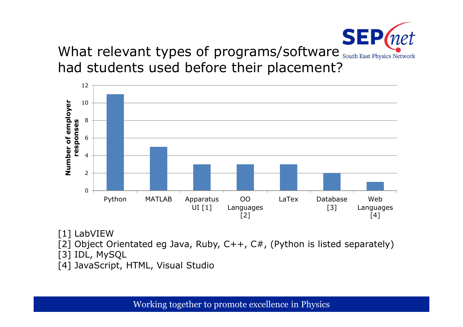

What relevant types of programs/software South East Physics Network had students used before their placement?



[1] LabVIEW

- [2] Object Orientated eg Java, Ruby, C++, C#, (Python is listed separately)<br>[פון מאמר מיכה או
- [3] IDL, MySQL
- [4] JavaScript, HTML, Visual Studio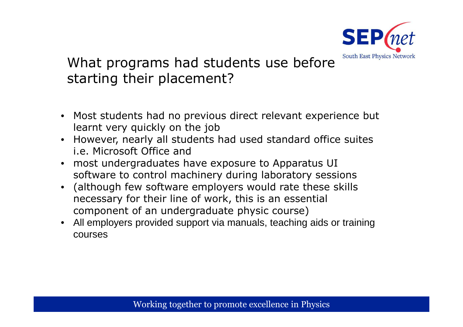

# What programs had students use before starting their placement?

- Most students had no previous direct relevant experience but learnt very quickly on the job
- However, nearly all students had used standard office suites i.e. Microsoft Office and
- most undergraduates have exposure to Apparatus UI software to control machinery during laboratory sessions
- (although few software employers would rate these skills necessary for their line of work, this is an essential component of an undergraduate physic course)
- All employers provided support via manuals, teaching aids or training courses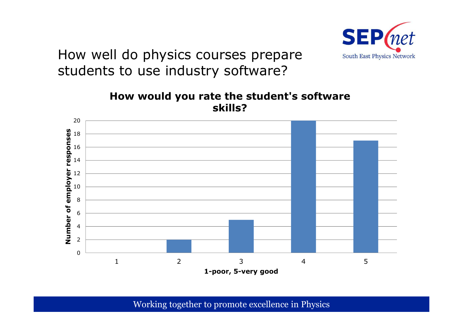

How well do physics courses prepare students to use industry software?

> **How would you rate the student's software skills?**

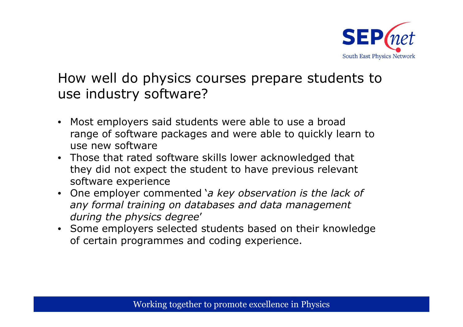

#### How well do physics courses prepare students to use industry software?

- Most employers said students were able to use a broad range of software packages and were able to quickly learn to use new software
- Those that rated software skills lower acknowledged that they did not expect the student to have previous relevant software experience
- One employer commented '*a key observation is the lack of any formal training on databases and data management during the physics degree*'
- Some employers selected students based on their knowledge of certain programmes and coding experience.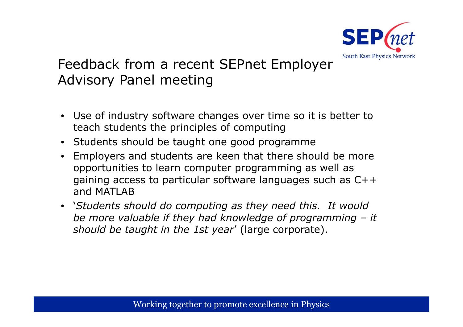

# Feedback from a recent SEPnet Employer Advisory Panel meeting

- Use of industry software changes over time so it is better to teach students the principles of computing
- Students should be taught one good programme
- Employers and students are keen that there should be more  $\bullet$ opportunities to learn computer programming as well as gaining access to particular software languages such as C++ and MATLAB
- '*Students should do computing as they need this. It would be more valuable if they had knowledge of programming – it*<br>should he taught in the 1st vear' (large corporate) *should be taught in the 1st year*' (large corporate).